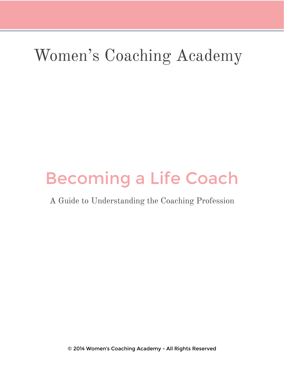# Women's Coaching Academy

# Becoming a Life Coach

# A Guide to Understanding the Coaching Profession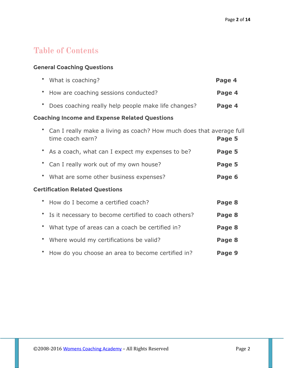# **Table of Contents**

## **General Coaching Questions**

|                                                      |  | • What is coaching?                                                                        | Page 4 |  |
|------------------------------------------------------|--|--------------------------------------------------------------------------------------------|--------|--|
|                                                      |  | How are coaching sessions conducted?                                                       | Page 4 |  |
|                                                      |  | Does coaching really help people make life changes?                                        | Page 4 |  |
| <b>Coaching Income and Expense Related Questions</b> |  |                                                                                            |        |  |
|                                                      |  | • Can I really make a living as coach? How much does that average full<br>time coach earn? | Page 5 |  |
|                                                      |  | As a coach, what can I expect my expenses to be?                                           | Page 5 |  |
|                                                      |  | Can I really work out of my own house?                                                     | Page 5 |  |
|                                                      |  | What are some other business expenses?                                                     | Page 6 |  |
| <b>Certification Related Questions</b>               |  |                                                                                            |        |  |
|                                                      |  | • How do I become a certified coach?                                                       | Page 8 |  |
|                                                      |  | Is it necessary to become certified to coach others?                                       | Page 8 |  |
|                                                      |  | What type of areas can a coach be certified in?                                            | Page 8 |  |
|                                                      |  | Where would my certifications be valid?                                                    | Page 8 |  |
|                                                      |  |                                                                                            |        |  |

• How do you choose an area to become certified in? **Page 9**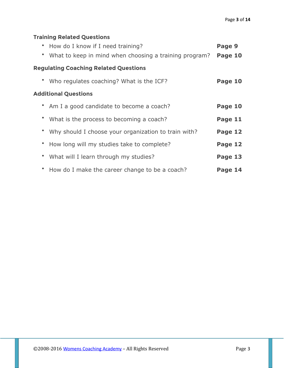# **Training Related Questions**

| • How do I know if I need training?<br>• What to keep in mind when choosing a training program? | Page 9<br>Page 10 |  |  |  |
|-------------------------------------------------------------------------------------------------|-------------------|--|--|--|
| <b>Regulating Coaching Related Questions</b>                                                    |                   |  |  |  |
| • Who regulates coaching? What is the ICF?                                                      | Page 10           |  |  |  |
| <b>Additional Questions</b>                                                                     |                   |  |  |  |
| • Am I a good candidate to become a coach?                                                      | Page 10           |  |  |  |
| • What is the process to becoming a coach?                                                      | Page 11           |  |  |  |
| • Why should I choose your organization to train with?                                          | Page 12           |  |  |  |
| • How long will my studies take to complete?                                                    | Page 12           |  |  |  |
| • What will I learn through my studies?                                                         | Page 13           |  |  |  |
| • How do I make the career change to be a coach?                                                | Page 14           |  |  |  |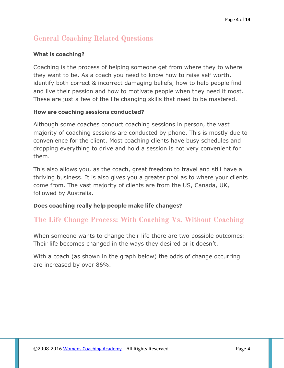# **General Coaching Related Questions**

## **What is coaching?**

Coaching is the process of helping someone get from where they to where they want to be. As a coach you need to know how to raise self worth, identify both correct & incorrect damaging beliefs, how to help people find and live their passion and how to motivate people when they need it most. These are just a few of the life changing skills that need to be mastered.

#### **How are coaching sessions conducted?**

Although some coaches conduct coaching sessions in person, the vast majority of coaching sessions are conducted by phone. This is mostly due to convenience for the client. Most coaching clients have busy schedules and dropping everything to drive and hold a session is not very convenient for them.

This also allows you, as the coach, great freedom to travel and still have a thriving business. It is also gives you a greater pool as to where your clients come from. The vast majority of clients are from the US, Canada, UK, followed by Australia.

#### **Does coaching really help people make life changes?**

# **The Life Change Process: With Coaching Vs. Without Coaching**

When someone wants to change their life there are two possible outcomes: Their life becomes changed in the ways they desired or it doesn't.

With a coach (as shown in the graph below) the odds of change occurring are increased by over 86%.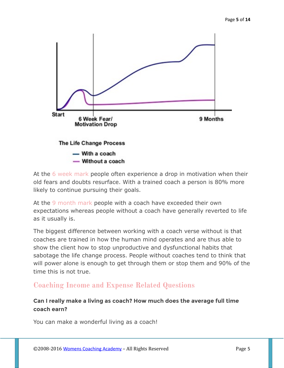

At the 6 week mark people often experience a drop in motivation when their old fears and doubts resurface. With a trained coach a person is 80% more likely to continue pursuing their goals.

At the 9 month mark people with a coach have exceeded their own expectations whereas people without a coach have generally reverted to life as it usually is.

The biggest difference between working with a coach verse without is that coaches are trained in how the human mind operates and are thus able to show the client how to stop unproductive and dysfunctional habits that sabotage the life change process. People without coaches tend to think that will power alone is enough to get through them or stop them and 90% of the time this is not true.

# **Coaching Income and Expense Related Questions**

## **Can I really make a living as coach? How much does the average full time coach earn?**

You can make a wonderful living as a coach!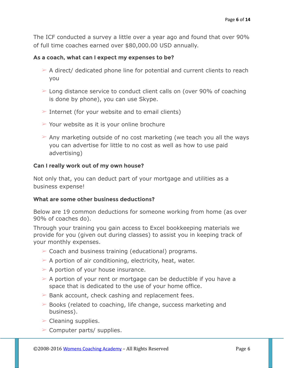The ICF conducted a survey a little over a year ago and found that over 90% of full time coaches earned over \$80,000.00 USD annually.

#### **As a coach, what can I expect my expenses to be?**

- $\geq$  A direct/ dedicated phone line for potential and current clients to reach you
- $\geq$  Long distance service to conduct client calls on (over 90% of coaching is done by phone), you can use Skype.
- $\triangleright$  Internet (for your website and to email clients)
- $\geq$  Your website as it is your online brochure
- $\geq$  Any marketing outside of no cost marketing (we teach you all the ways you can advertise for little to no cost as well as how to use paid advertising)

#### **Can I really work out of my own house?**

Not only that, you can deduct part of your mortgage and utilities as a business expense!

#### **What are some other business deductions?**

Below are 19 common deductions for someone working from home (as over 90% of coaches do).

Through your training you gain access to Excel bookkeeping materials we provide for you (given out during classes) to assist you in keeping track of your monthly expenses.

- $\triangleright$  Coach and business training (educational) programs.
- $\triangleright$  A portion of air conditioning, electricity, heat, water.
- $\triangleright$  A portion of your house insurance.
- $\geq$  A portion of your rent or mortgage can be deductible if you have a space that is dedicated to the use of your home office.
- $\triangleright$  Bank account, check cashing and replacement fees.
- $\geq$  Books (related to coaching, life change, success marketing and business).
- $\triangleright$  Cleaning supplies.
- $\triangleright$  Computer parts/ supplies.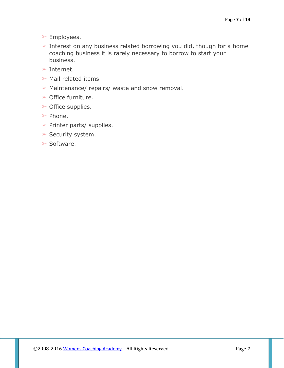- ➢ Employees.
- ➢ Interest on any business related borrowing you did, though for a home coaching business it is rarely necessary to borrow to start your business.
- $>$  Internet.
- $\triangleright$  Mail related items.
- ➢ Maintenance/ repairs/ waste and snow removal.
- $\triangleright$  Office furniture.
- $\triangleright$  Office supplies.
- ➢ Phone.
- $\triangleright$  Printer parts/ supplies.
- ➢ Security system.
- $\triangleright$  Software.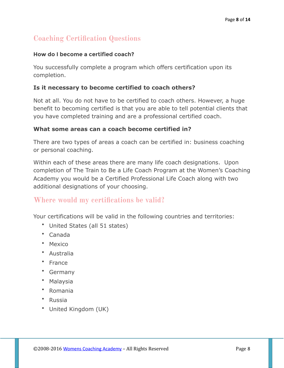# **Coaching Certification Questions**

#### **How do I become a certified coach?**

You successfully complete a program which offers certification upon its completion.

## **Is it necessary to become certified to coach others?**

Not at all. You do not have to be certified to coach others. However, a huge benefit to becoming certified is that you are able to tell potential clients that you have completed training and are a professional certified coach.

## **What some areas can a coach become certified in?**

There are two types of areas a coach can be certified in: business coaching or personal coaching.

Within each of these areas there are many life coach designations. Upon completion of The Train to Be a Life Coach Program at the Women's Coaching Academy you would be a Certified Professional Life Coach along with two additional designations of your choosing.

## **Where would my certifications be valid?**

Your certifications will be valid in the following countries and territories:

- United States (all 51 states)
- Canada
- Mexico
- Australia
- France
- Germany
- Malaysia
- Romania
- Russia
- United Kingdom (UK)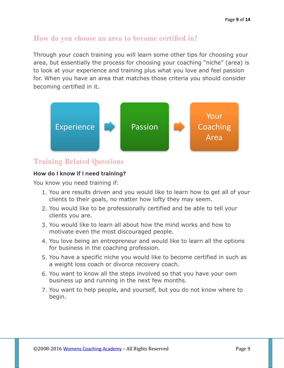# **How do you choose an area to become certified in?**

Through your coach training you will learn some other tips for choosing your area, but essentially the process for choosing your coaching "niche" (area) is to look at your experience and training plus what you love and feel passion for. When you have an area that matches those criteria you should consider becoming certified in it.



## **Training Related Questions**

#### **How do I know if I need training?**

You know you need training if:

- 1. You are results driven and you would like to learn how to get all of your clients to their goals, no matter how lofty they may seem.
- 2. You would like to be professionally certified and be able to tell your clients you are.
- 3. You would like to learn all about how the mind works and how to motivate even the most discouraged people.
- 4. You love being an entrepreneur and would like to learn all the options for business in the coaching profession.
- 5. You have a specific niche you would like to become certified in such as a weight loss coach or divorce recovery coach.
- 6. You want to know all the steps involved so that you have your own business up and running in the next few months.
- 7. You want to help people, and yourself, but you do not know where to begin.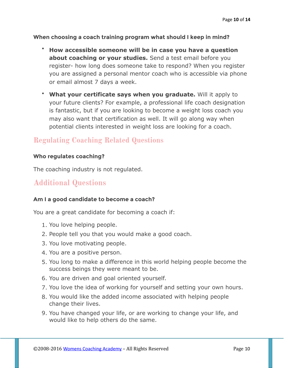**When choosing a coach training program what should I keep in mind?** 

- **How accessible someone will be in case you have a question about coaching or your studies.** Send a test email before you register- how long does someone take to respond? When you register you are assigned a personal mentor coach who is accessible via phone or email almost 7 days a week.
- **What your certificate says when you graduate.** Will it apply to your future clients? For example, a professional life coach designation is fantastic, but if you are looking to become a weight loss coach you may also want that certification as well. It will go along way when potential clients interested in weight loss are looking for a coach.

# **Regulating Coaching Related Questions**

#### **Who regulates coaching?**

The coaching industry is not regulated.

# **Additional Questions**

#### **Am I a good candidate to become a coach?**

You are a great candidate for becoming a coach if:

- 1. You love helping people.
- 2. People tell you that you would make a good coach.
- 3. You love motivating people.
- 4. You are a positive person.
- 5. You long to make a difference in this world helping people become the success beings they were meant to be.
- 6. You are driven and goal oriented yourself.
- 7. You love the idea of working for yourself and setting your own hours.
- 8. You would like the added income associated with helping people change their lives.
- 9. You have changed your life, or are working to change your life, and would like to help others do the same.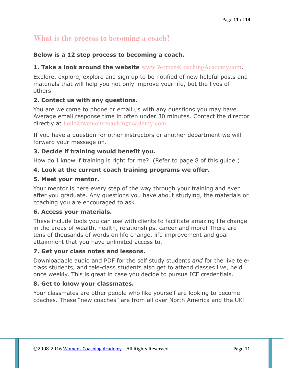# **What is the process to becoming a coach?**

## **Below is a 12 step process to becoming a coach.**

## **1. Take a look around the website** [www.WomensCoachingAcademy.com](http://www.WomensCoachingAcademy.com).

Explore, explore, explore and sign up to be notified of new helpful posts and materials that will help you not only improve your life, but the lives of others.

## **2. Contact us with any questions.**

You are welcome to phone or email us with any questions you may have. Average email response time in often under 30 minutes. Contact the director directly at [hello@womenscoachingacademy.com](mailto:hello@womenscoachingacademy.com).

If you have a question for other instructors or another department we will forward your message on.

## **3. Decide if training would benefit you.**

How do I know if training is right for me? (Refer to page 8 of this guide.)

## **4. Look at the current coach training programs we offer.**

#### **5. Meet your mentor.**

Your mentor is here every step of the way through your training and even after you graduate. Any questions you have about studying, the materials or coaching you are encouraged to ask.

#### **6. Access your materials.**

These include tools you can use with clients to facilitate amazing life change in the areas of wealth, health, relationships, career and more! There are tens of thousands of words on life change, life improvement and goal attainment that you have unlimited access to.

## **7. Get your class notes and lessons.**

Downloadable audio and PDF for the self study students *and* for the live teleclass students, and tele-class students also get to attend classes live, held once weekly. This is great in case you decide to pursue ICF credentials.

## **8. Get to know your classmates.**

Your classmates are other people who like yourself are looking to become coaches. These "new coaches" are from all over North America and the UK!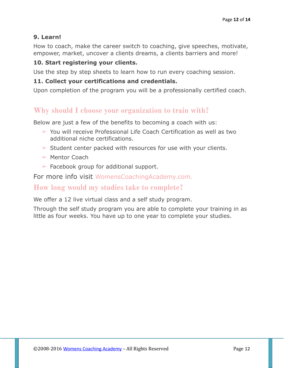## **9. Learn!**

How to coach, make the career switch to coaching, give speeches, motivate, empower, market, uncover a clients dreams, a clients barriers and more!

## **10. Start registering your clients.**

Use the step by step sheets to learn how to run every coaching session.

## **11. Collect your certifications and credentials.**

Upon completion of the program you will be a professionally certified coach.

# **Why should I choose your organization to train with?**

Below are just a few of the benefits to becoming a coach with us:

- ➢ You will receive Professional Life Coach Certification as well as two additional niche certifications.
- $\triangleright$  Student center packed with resources for use with your clients.
- $\geq$  Mentor Coach
- $\triangleright$  Facebook group for additional support.

For more info visit [WomensCoachingAcademy.com.](http://www.womenscoachingacademy.com)

## **How long would my studies take to complete?**

We offer a 12 live virtual class and a self study program.

Through the self study program you are able to complete your training in as little as four weeks. You have up to one year to complete your studies.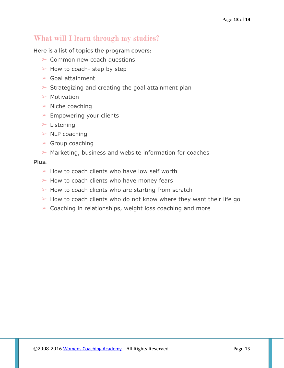# **What will I learn through my studies?**

#### Here is a list of topics the program covers:

- ➢ Common new coach questions
- $\triangleright$  How to coach- step by step
- $\triangleright$  Goal attainment
- $\triangleright$  Strategizing and creating the goal attainment plan
- $\triangleright$  Motivation
- $\triangleright$  Niche coaching
- $\triangleright$  Empowering your clients
- $\blacktriangleright$  Listening
- $\triangleright$  NLP coaching
- $\triangleright$  Group coaching
- $\triangleright$  Marketing, business and website information for coaches

#### Plus:

- $\geq$  How to coach clients who have low self worth
- $\triangleright$  How to coach clients who have money fears
- $\triangleright$  How to coach clients who are starting from scratch
- $\geq$  How to coach clients who do not know where they want their life go
- $\geq$  Coaching in relationships, weight loss coaching and more